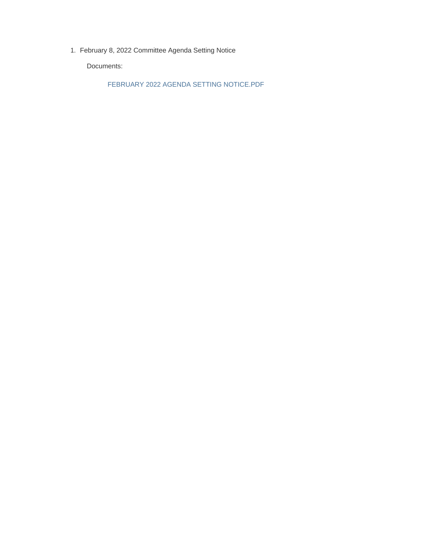February 8, 2022 Committee Agenda Setting Notice 1.

Documents:

FEBRUARY 2022 AGENDA SETTING NOTICE.PDF